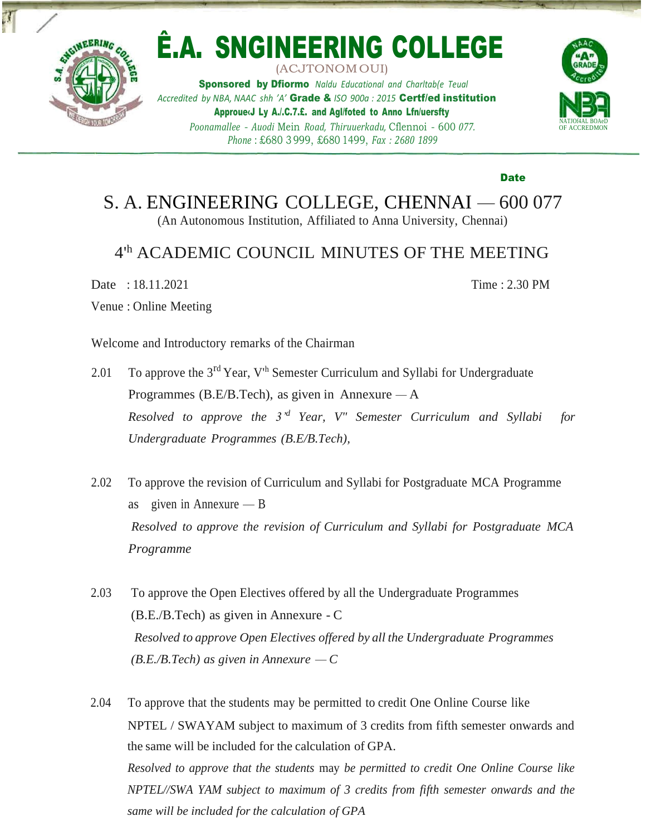

## Ê.A. SNGINEERING COLLEGE (ACJTONOMOUI)

Sponsored by Dfiormo *Naldu Educational and Charltab(e Teual Accredited by NBA, NAAC shh 'A'* Grade & *ISO 900a : 2015* Certf/ed institution Approue‹J Ly A./.C.7.£. and Agl/foted to Anno Lfn/uersfty *Poonamallee* - *Auodi* Mein *Road, Thiruuerkadu,* Cflennoi - 600 *077. Phone* : £680 3 999, £680 1499, *Fax : 2680 1899*



Date

Time : 2.30 PM

S. A. ENGINEERING COLLEGE, CHENNAI — 600 077 (An Autonomous Institution, Affiliated to Anna University, Chennai)

## 4'<sup>h</sup> ACADEMIC COUNCIL MINUTES OF THE MEETING

Date : 18.11.2021

Venue : Online Meeting

Welcome and Introductory remarks of the Chairman

- 2.01 To approve the  $3^{rd}$  Year, V<sup>th</sup> Semester Curriculum and Syllabi for Undergraduate Programmes (B.E/B.Tech), as given in Annexure  $-A$ *Resolved to approve the 3'<sup>d</sup> Year, V" Semester Curriculum and Syllabi for Undergraduate Programmes (B.E/B.Tech),*
- 2.02 To approve the revision of Curriculum and Syllabi for Postgraduate MCA Programme as given in Annexure — B *Resolved to approve the revision of Curriculum and Syllabi for Postgraduate MCA Programme*
- 2.03 To approve the Open Electives offered by all the Undergraduate Programmes (B.E./B.Tech) as given in Annexure - C *Resolved to approve Open Electives offered by all the Undergraduate Programmes*  $(B.E.B.Tech)$  *as given in Annexure* — *C*
- 2.04 To approve that the students may be permitted to credit One Online Course like NPTEL / SWAYAM subject to maximum of 3 credits from fifth semester onwards and the same will be included for the calculation of GPA. *Resolved to approve that the students* may *be permitted to credit One Online Course like NPTEL//SWA YAM subject to maximum of 3 credits from fifth semester onwards and the same will be included for the calculation of GPA*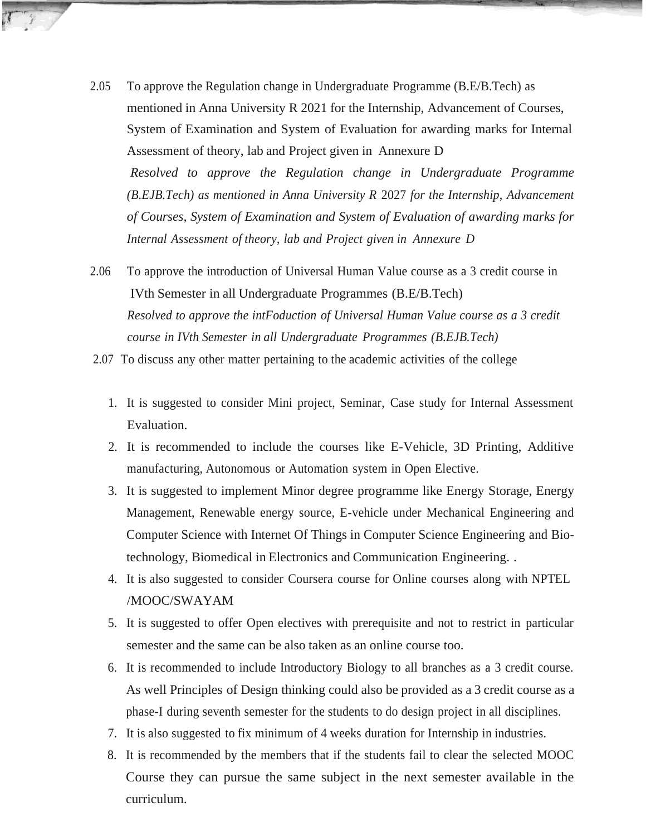- 2.05 To approve the Regulation change in Undergraduate Programme (B.E/B.Tech) as mentioned in Anna University R 2021 for the Internship, Advancement of Courses, System of Examination and System of Evaluation for awarding marks for Internal Assessment of theory, lab and Project given in Annexure D *Resolved to approve the Regulation change in Undergraduate Programme (B.EJB.Tech) as mentioned in Anna University R* 2027 *for the Internship, Advancement of Courses, System of Examination and System of Evaluation of awarding marks for Internal Assessment of theory, lab and Project given in Annexure D*
- 2.06 To approve the introduction of Universal Human Value course as a 3 credit course in IVth Semester in all Undergraduate Programmes (B.E/B.Tech) *Resolved to approve the intFoduction of Universal Human Value course as a 3 credit course in IVth Semester in all Undergraduate Programmes (B.EJB.Tech)*
- 2.07 To discuss any other matter pertaining to the academic activities of the college
	- 1. It is suggested to consider Mini project, Seminar, Case study for Internal Assessment Evaluation.
	- 2. It is recommended to include the courses like E-Vehicle, 3D Printing, Additive manufacturing, Autonomous or Automation system in Open Elective.
	- 3. It is suggested to implement Minor degree programme like Energy Storage, Energy Management, Renewable energy source, E-vehicle under Mechanical Engineering and Computer Science with Internet Of Things in Computer Science Engineering and Biotechnology, Biomedical in Electronics and Communication Engineering. .
	- 4. It is also suggested to consider Coursera course for Online courses along with NPTEL /MOOC/SWAYAM
	- 5. It is suggested to offer Open electives with prerequisite and not to restrict in particular semester and the same can be also taken as an online course too.
	- 6. It is recommended to include Introductory Biology to all branches as a 3 credit course. As well Principles of Design thinking could also be provided as a 3 credit course as a phase-I during seventh semester for the students to do design project in all disciplines.
	- 7. It is also suggested to fix minimum of 4 weeks duration for Internship in industries.
	- 8. It is recommended by the members that if the students fail to clear the selected MOOC Course they can pursue the same subject in the next semester available in the curriculum.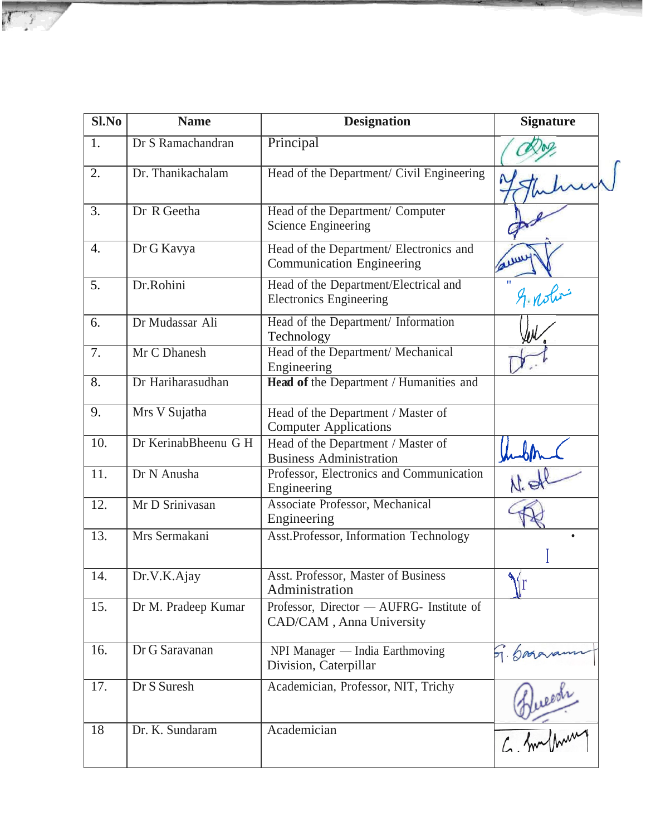| Sl.No | <b>Name</b>          | <b>Designation</b>                                                          | <b>Signature</b> |
|-------|----------------------|-----------------------------------------------------------------------------|------------------|
| 1.    | Dr S Ramachandran    | Principal                                                                   |                  |
| 2.    | Dr. Thanikachalam    | Head of the Department/ Civil Engineering                                   |                  |
| 3.    | Dr R Geetha          | Head of the Department/ Computer<br>Science Engineering                     |                  |
| 4.    | Dr G Kavya           | Head of the Department/ Electronics and<br><b>Communication Engineering</b> |                  |
| 5.    | Dr.Rohini            | Head of the Department/Electrical and<br><b>Electronics Engineering</b>     | & notice         |
| 6.    | Dr Mudassar Ali      | Head of the Department/ Information<br>Technology                           |                  |
| 7.    | Mr C Dhanesh         | Head of the Department/ Mechanical<br>Engineering                           |                  |
| 8.    | Dr Hariharasudhan    | Head of the Department / Humanities and                                     |                  |
| 9.    | Mrs V Sujatha        | Head of the Department / Master of<br><b>Computer Applications</b>          |                  |
| 10.   | Dr KerinabBheenu G H | Head of the Department / Master of<br><b>Business Administration</b>        |                  |
| 11.   | Dr N Anusha          | Professor, Electronics and Communication<br>Engineering                     |                  |
| 12.   | Mr D Srinivasan      | Associate Professor, Mechanical<br>Engineering                              |                  |
| 13.   | Mrs Sermakani        | Asst.Professor, Information Technology                                      |                  |
| 14.   | Dr.V.K.Ajay          | Asst. Professor, Master of Business<br>Administration                       |                  |
| 15.   | Dr M. Pradeep Kumar  | Professor, Director — AUFRG- Institute of<br>CAD/CAM, Anna University       |                  |
| 16.   | Dr G Saravanan       | NPI Manager - India Earthmoving<br>Division, Caterpillar                    |                  |
| 17.   | Dr S Suresh          | Academician, Professor, NIT, Trichy                                         | 5. bosavanne     |
| 18    | Dr. K. Sundaram      | Academician                                                                 |                  |

TT /